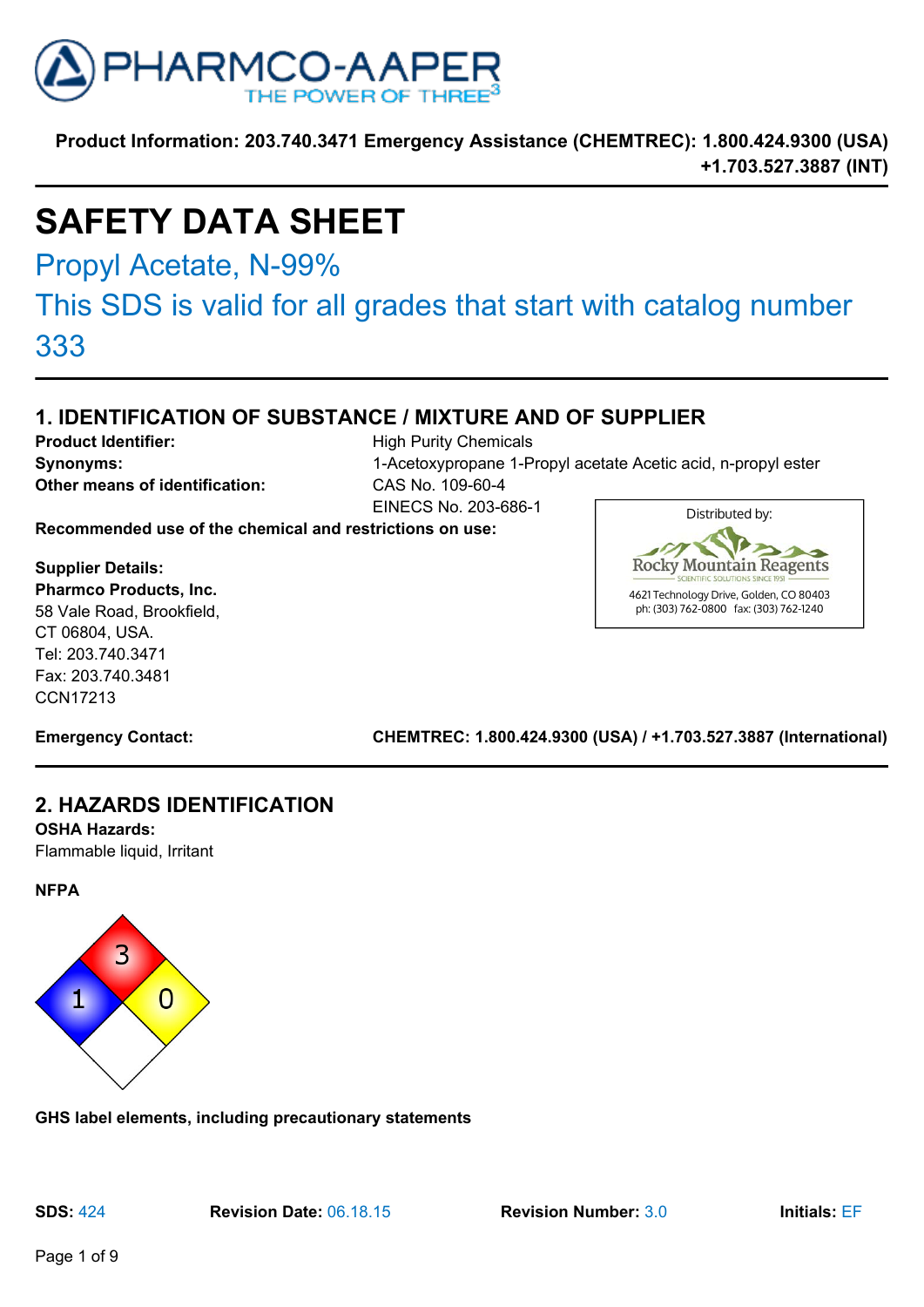

# **SAFETY DATA SHEET**

Propyl Acetate, N-99%

# This SDS is valid for all grades that start with catalog number

333

# **1. IDENTIFICATION OF SUBSTANCE / MIXTURE AND OF SUPPLIER**

**Product Identifier:** High Purity Chemicals **Other means of identification:** CAS No. 109-60-4

**Synonyms:** 1-Acetoxypropane 1-Propyl acetate Acetic acid, n-propyl ester EINECS No. 203-686-1

**Recommended use of the chemical and restrictions on use:**

**Supplier Details: Pharmco Products, Inc.** 58 Vale Road, Brookfield, CT 06804, USA. Tel: 203.740.3471 Fax: 203.740.3481 CCN17213



**Emergency Contact: CHEMTREC: 1.800.424.9300 (USA) / +1.703.527.3887 (International)**

# **2. HAZARDS IDENTIFICATION**

**OSHA Hazards:**

Flammable liquid, Irritant





**GHS label elements, including precautionary statements**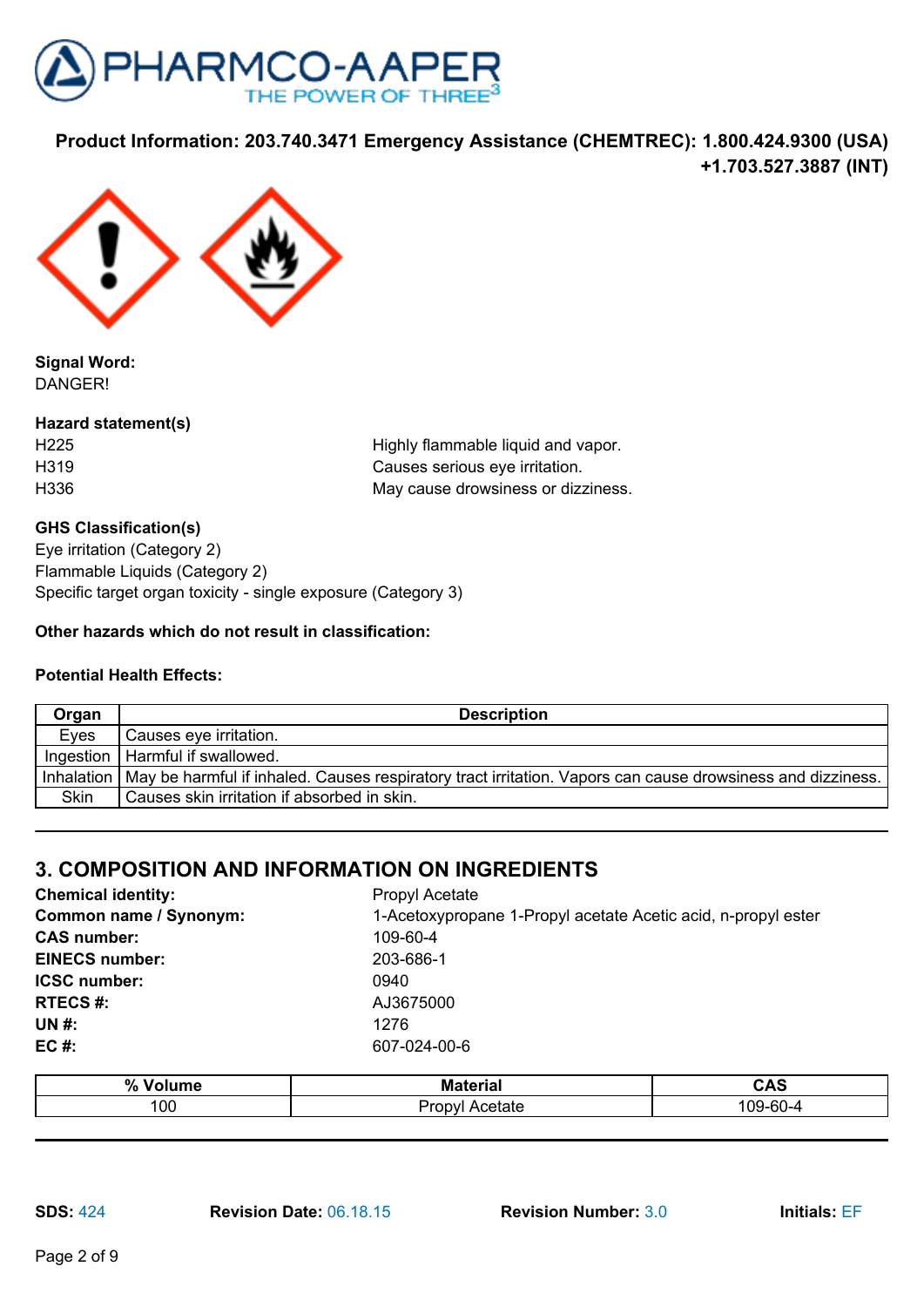



**Signal Word:** DANGER!

**Hazard statement(s)**

H225 **Highly flammable liquid and vapor.** H319 Causes serious eye irritation. H336 May cause drowsiness or dizziness.

## **GHS Classification(s)**

Eye irritation (Category 2) Flammable Liquids (Category 2) Specific target organ toxicity - single exposure (Category 3)

## **Other hazards which do not result in classification:**

## **Potential Health Effects:**

| Organ       | <b>Description</b>                                                                                                      |
|-------------|-------------------------------------------------------------------------------------------------------------------------|
| Eyes        | Causes eye irritation.                                                                                                  |
|             | Ingestion   Harmful if swallowed.                                                                                       |
|             | Inhalation   May be harmful if inhaled. Causes respiratory tract irritation. Vapors can cause drowsiness and dizziness. |
| <b>Skin</b> | l Causes skin irritation if absorbed in skin.                                                                           |

## **3. COMPOSITION AND INFORMATION ON INGREDIENTS**

| $\mathbf{0}$<br>70 | M<br>----- | <b>AC</b><br>טרט      |
|--------------------|------------|-----------------------|
| '00                |            | $\sim$<br>$\sim$<br>. |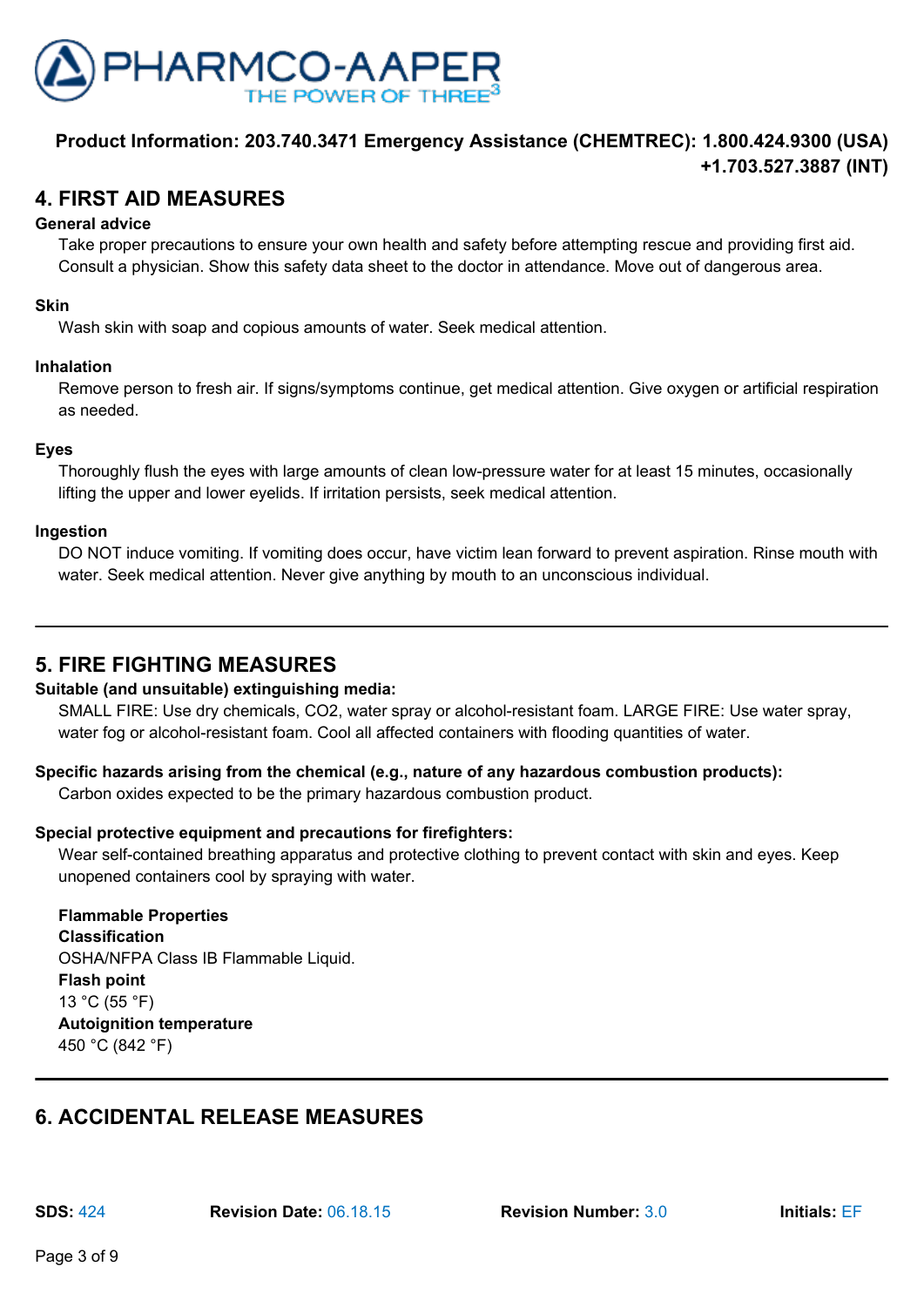

# **4. FIRST AID MEASURES**

#### **General advice**

Take proper precautions to ensure your own health and safety before attempting rescue and providing first aid. Consult a physician. Show this safety data sheet to the doctor in attendance. Move out of dangerous area.

#### **Skin**

Wash skin with soap and copious amounts of water. Seek medical attention.

#### **Inhalation**

Remove person to fresh air. If signs/symptoms continue, get medical attention. Give oxygen or artificial respiration as needed.

#### **Eyes**

Thoroughly flush the eyes with large amounts of clean low-pressure water for at least 15 minutes, occasionally lifting the upper and lower eyelids. If irritation persists, seek medical attention.

#### **Ingestion**

DO NOT induce vomiting. If vomiting does occur, have victim lean forward to prevent aspiration. Rinse mouth with water. Seek medical attention. Never give anything by mouth to an unconscious individual.

## **5. FIRE FIGHTING MEASURES**

#### **Suitable (and unsuitable) extinguishing media:**

SMALL FIRE: Use dry chemicals, CO2, water spray or alcohol-resistant foam. LARGE FIRE: Use water spray, water fog or alcohol-resistant foam. Cool all affected containers with flooding quantities of water.

## **Specific hazards arising from the chemical (e.g., nature of any hazardous combustion products):**

Carbon oxides expected to be the primary hazardous combustion product.

## **Special protective equipment and precautions for firefighters:**

Wear self-contained breathing apparatus and protective clothing to prevent contact with skin and eyes. Keep unopened containers cool by spraying with water.

### **Flammable Properties Classification** OSHA/NFPA Class IB Flammable Liquid.

**Flash point** 13 °C (55 °F) **Autoignition temperature** 450 °C (842 °F)

# **6. ACCIDENTAL RELEASE MEASURES**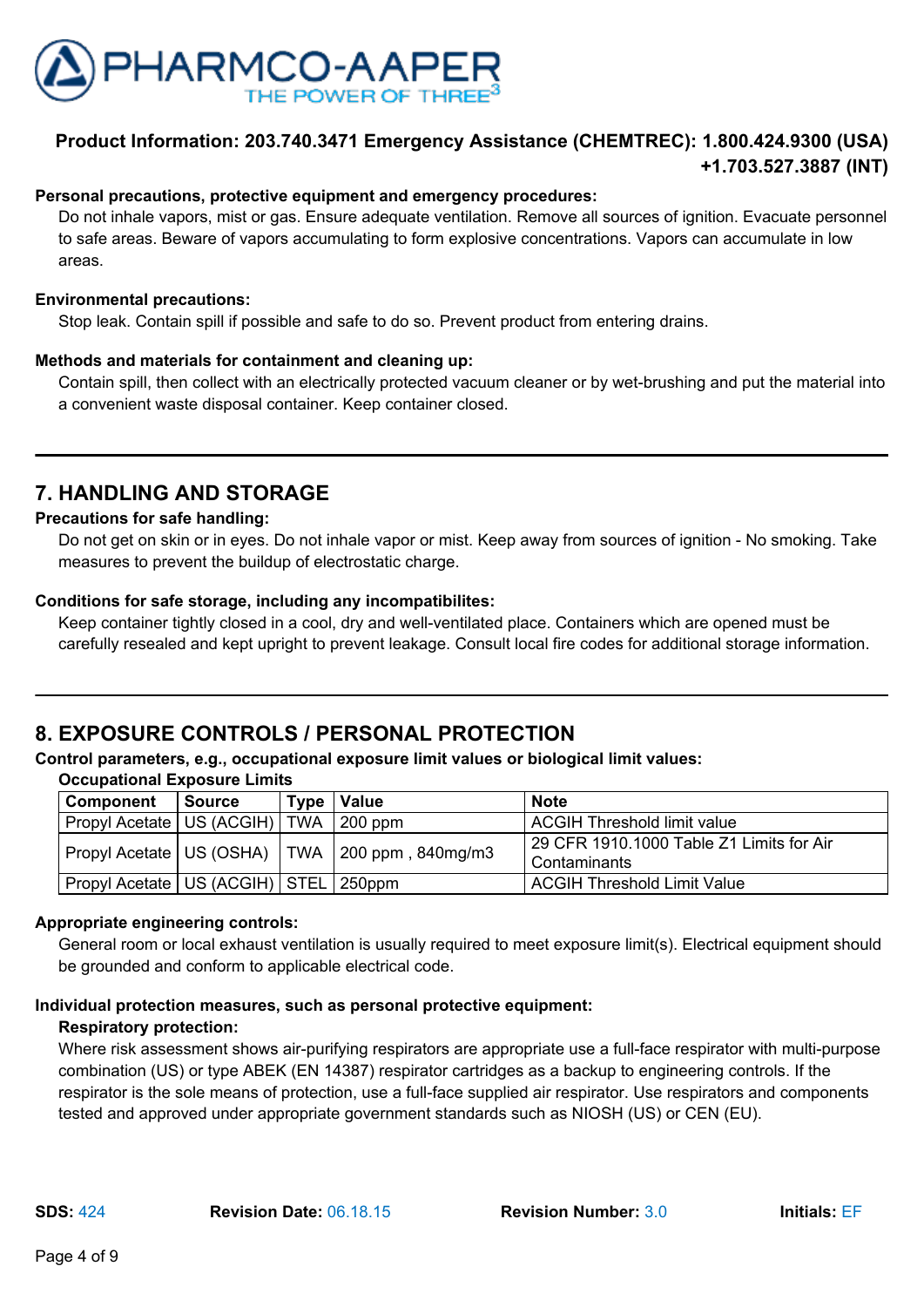

#### **Personal precautions, protective equipment and emergency procedures:**

Do not inhale vapors, mist or gas. Ensure adequate ventilation. Remove all sources of ignition. Evacuate personnel to safe areas. Beware of vapors accumulating to form explosive concentrations. Vapors can accumulate in low areas.

#### **Environmental precautions:**

Stop leak. Contain spill if possible and safe to do so. Prevent product from entering drains.

#### **Methods and materials for containment and cleaning up:**

Contain spill, then collect with an electrically protected vacuum cleaner or by wet-brushing and put the material into a convenient waste disposal container. Keep container closed.

## **7. HANDLING AND STORAGE**

#### **Precautions for safe handling:**

Do not get on skin or in eyes. Do not inhale vapor or mist. Keep away from sources of ignition - No smoking. Take measures to prevent the buildup of electrostatic charge.

#### **Conditions for safe storage, including any incompatibilites:**

Keep container tightly closed in a cool, dry and well-ventilated place. Containers which are opened must be carefully resealed and kept upright to prevent leakage. Consult local fire codes for additional storage information.

# **8. EXPOSURE CONTROLS / PERSONAL PROTECTION**

#### **Control parameters, e.g., occupational exposure limit values or biological limit values:**

**Occupational Exposure Limits**

| Component                                   | Source | Type   Value                                         | <b>Note</b>                                              |
|---------------------------------------------|--------|------------------------------------------------------|----------------------------------------------------------|
| Propyl Acetate   US (ACGIH)   TWA   200 ppm |        |                                                      | <b>ACGIH Threshold limit value</b>                       |
|                                             |        | Propyl Acetate   US (OSHA)   TWA   200 ppm, 840mg/m3 | 29 CFR 1910.1000 Table Z1 Limits for Air<br>Contaminants |
| Propyl Acetate   US (ACGIH)   STEL   250ppm |        |                                                      | ACGIH Threshold Limit Value                              |

## **Appropriate engineering controls:**

General room or local exhaust ventilation is usually required to meet exposure limit(s). Electrical equipment should be grounded and conform to applicable electrical code.

## **Individual protection measures, such as personal protective equipment:**

#### **Respiratory protection:**

Where risk assessment shows air-purifying respirators are appropriate use a full-face respirator with multi-purpose combination (US) or type ABEK (EN 14387) respirator cartridges as a backup to engineering controls. If the respirator is the sole means of protection, use a full-face supplied air respirator. Use respirators and components tested and approved under appropriate government standards such as NIOSH (US) or CEN (EU).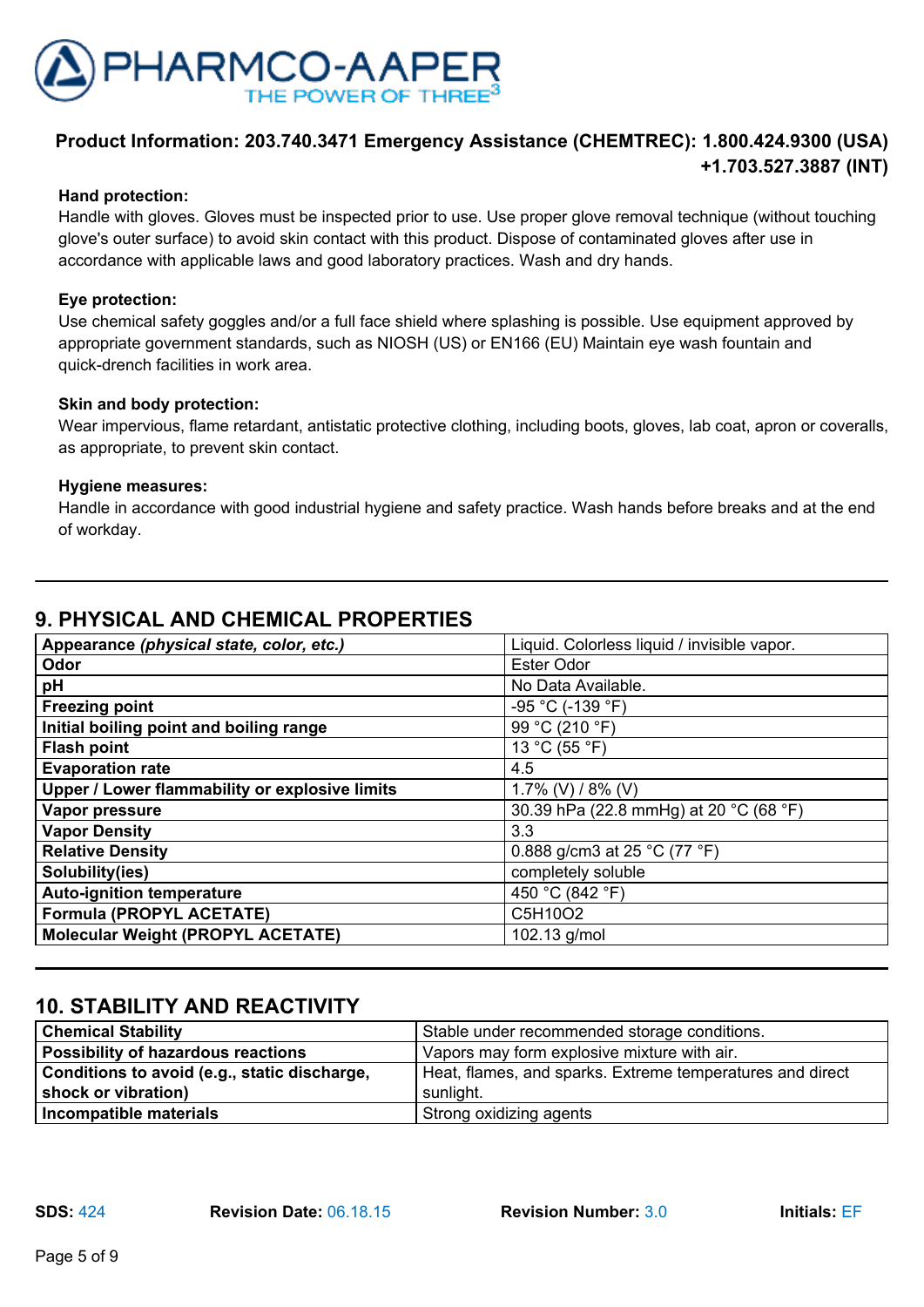

## **Hand protection:**

Handle with gloves. Gloves must be inspected prior to use. Use proper glove removal technique (without touching glove's outer surface) to avoid skin contact with this product. Dispose of contaminated gloves after use in accordance with applicable laws and good laboratory practices. Wash and dry hands.

### **Eye protection:**

Use chemical safety goggles and/or a full face shield where splashing is possible. Use equipment approved by appropriate government standards, such as NIOSH (US) or EN166 (EU) Maintain eye wash fountain and quick-drench facilities in work area.

#### **Skin and body protection:**

Wear impervious, flame retardant, antistatic protective clothing, including boots, gloves, lab coat, apron or coveralls, as appropriate, to prevent skin contact.

#### **Hygiene measures:**

Handle in accordance with good industrial hygiene and safety practice. Wash hands before breaks and at the end of workday.

# **9. PHYSICAL AND CHEMICAL PROPERTIES**

| Appearance (physical state, color, etc.)       | Liquid. Colorless liquid / invisible vapor. |
|------------------------------------------------|---------------------------------------------|
| Odor                                           | Ester Odor                                  |
| pH                                             | No Data Available.                          |
| <b>Freezing point</b>                          | -95 °C (-139 °F)                            |
| Initial boiling point and boiling range        | 99 °C (210 °F)                              |
| <b>Flash point</b>                             | 13 °C (55 °F)                               |
| <b>Evaporation rate</b>                        | 4.5                                         |
| Upper / Lower flammability or explosive limits | 1.7% (V) / 8% (V)                           |
| Vapor pressure                                 | 30.39 hPa (22.8 mmHg) at 20 °C (68 °F)      |
| <b>Vapor Density</b>                           | 3.3                                         |
| <b>Relative Density</b>                        | 0.888 g/cm3 at 25 °C (77 °F)                |
| Solubility(ies)                                | completely soluble                          |
| <b>Auto-ignition temperature</b>               | 450 °C (842 °F)                             |
| <b>Formula (PROPYL ACETATE)</b>                | C5H10O2                                     |
| <b>Molecular Weight (PROPYL ACETATE)</b>       | 102.13 g/mol                                |

# **10. STABILITY AND REACTIVITY**

| <b>Chemical Stability</b>                    | Stable under recommended storage conditions.              |  |
|----------------------------------------------|-----------------------------------------------------------|--|
| Possibility of hazardous reactions           | Vapors may form explosive mixture with air.               |  |
| Conditions to avoid (e.g., static discharge, | Heat, flames, and sparks. Extreme temperatures and direct |  |
| shock or vibration)                          | sunlight.                                                 |  |
| Incompatible materials                       | Strong oxidizing agents                                   |  |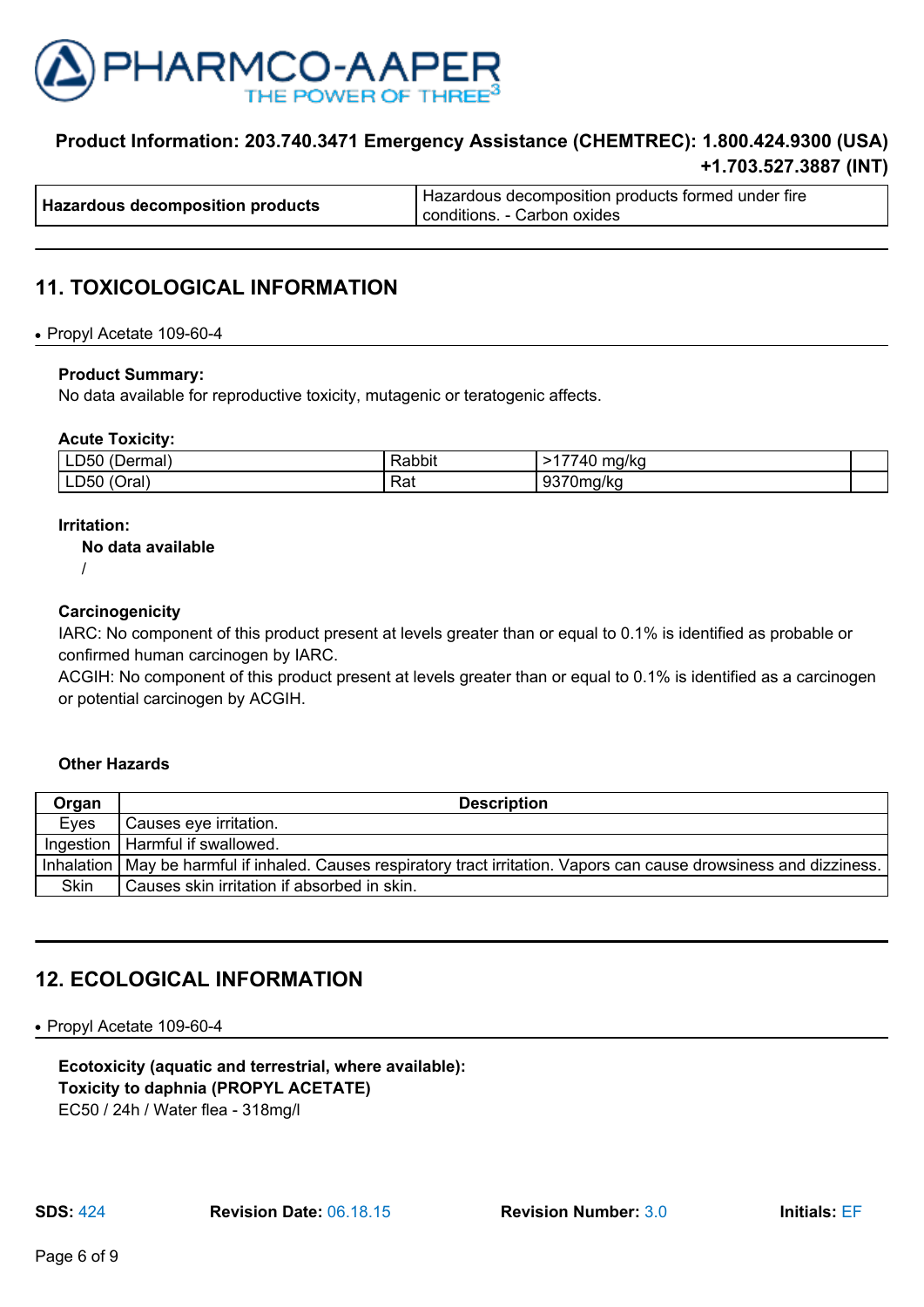

|                                         | I Hazardous decomposition products formed under fire |  |
|-----------------------------------------|------------------------------------------------------|--|
| <b>Hazardous decomposition products</b> | conditions. - Carbon oxides                          |  |

# **11. TOXICOLOGICAL INFORMATION**

#### ● Propyl Acetate 109-60-4

#### **Product Summary:**

No data available for reproductive toxicity, mutagenic or teratogenic affects.

#### **Acute Toxicity:**

| ∟D50<br>$\sqrt{2}$<br>≅rmai,<br>(Der         | Rabbit | $- -$<br>$\overline{\phantom{a}}$<br>ma/kc |  |
|----------------------------------------------|--------|--------------------------------------------|--|
| . .<br>∟D50<br>$\tilde{\phantom{a}}$<br>اara | Rat    | <br>0270<br>Uma/ka<br>. .                  |  |

#### **Irritation:**

#### **No data available**

/

#### **Carcinogenicity**

IARC: No component of this product present at levels greater than or equal to 0.1% is identified as probable or confirmed human carcinogen by IARC.

ACGIH: No component of this product present at levels greater than or equal to 0.1% is identified as a carcinogen or potential carcinogen by ACGIH.

#### **Other Hazards**

| Organ       | <b>Description</b>                                                                                                      |
|-------------|-------------------------------------------------------------------------------------------------------------------------|
| Eves        | Causes eye irritation.                                                                                                  |
|             | Ingestion   Harmful if swallowed.                                                                                       |
|             | Inhalation   May be harmful if inhaled. Causes respiratory tract irritation. Vapors can cause drowsiness and dizziness. |
| <b>Skin</b> | Causes skin irritation if absorbed in skin.                                                                             |

## **12. ECOLOGICAL INFORMATION**

● Propyl Acetate 109-60-4

**Ecotoxicity (aquatic and terrestrial, where available): Toxicity to daphnia (PROPYL ACETATE)** EC50 / 24h / Water flea - 318mg/l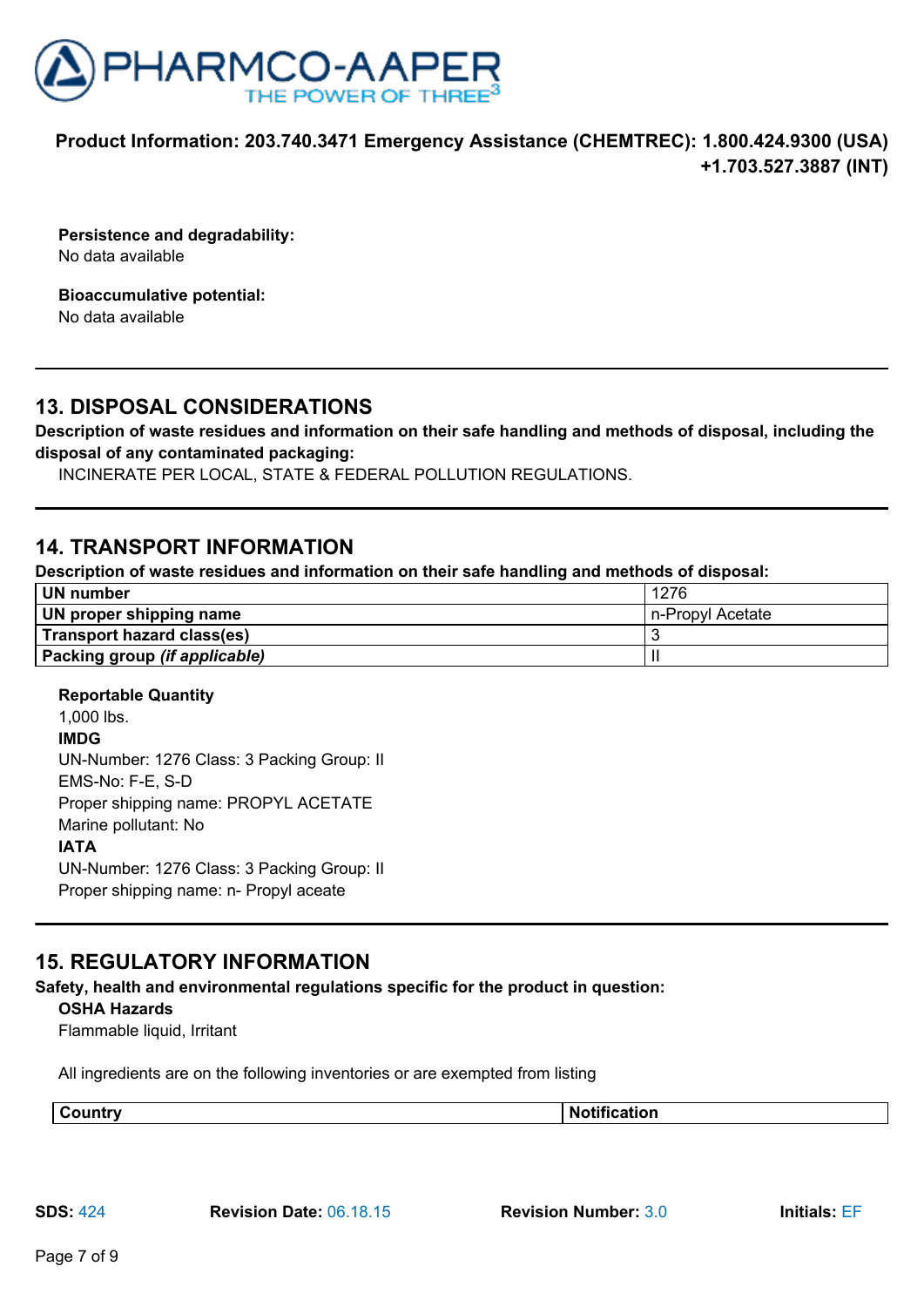

**Persistence and degradability:** No data available

**Bioaccumulative potential:** No data available

## **13. DISPOSAL CONSIDERATIONS**

**Description of waste residues and information on their safe handling and methods of disposal, including the disposal of any contaminated packaging:**

INCINERATE PER LOCAL, STATE & FEDERAL POLLUTION REGULATIONS.

## **14. TRANSPORT INFORMATION**

**Description of waste residues and information on their safe handling and methods of disposal:**

| UN number                     | 1276             |
|-------------------------------|------------------|
| UN proper shipping name       | n-Propyl Acetate |
| Transport hazard class(es)    |                  |
| Packing group (if applicable) |                  |

## **Reportable Quantity**

1,000 lbs. **IMDG** UN-Number: 1276 Class: 3 Packing Group: II EMS-No: F-E, S-D Proper shipping name: PROPYL ACETATE Marine pollutant: No **IATA** UN-Number: 1276 Class: 3 Packing Group: II Proper shipping name: n- Propyl aceate

## **15. REGULATORY INFORMATION**

**Safety, health and environmental regulations specific for the product in question:**

#### **OSHA Hazards**

Flammable liquid, Irritant

All ingredients are on the following inventories or are exempted from listing

| N<br>AUD. | . .<br>.<br>. |
|-----------|---------------|
|-----------|---------------|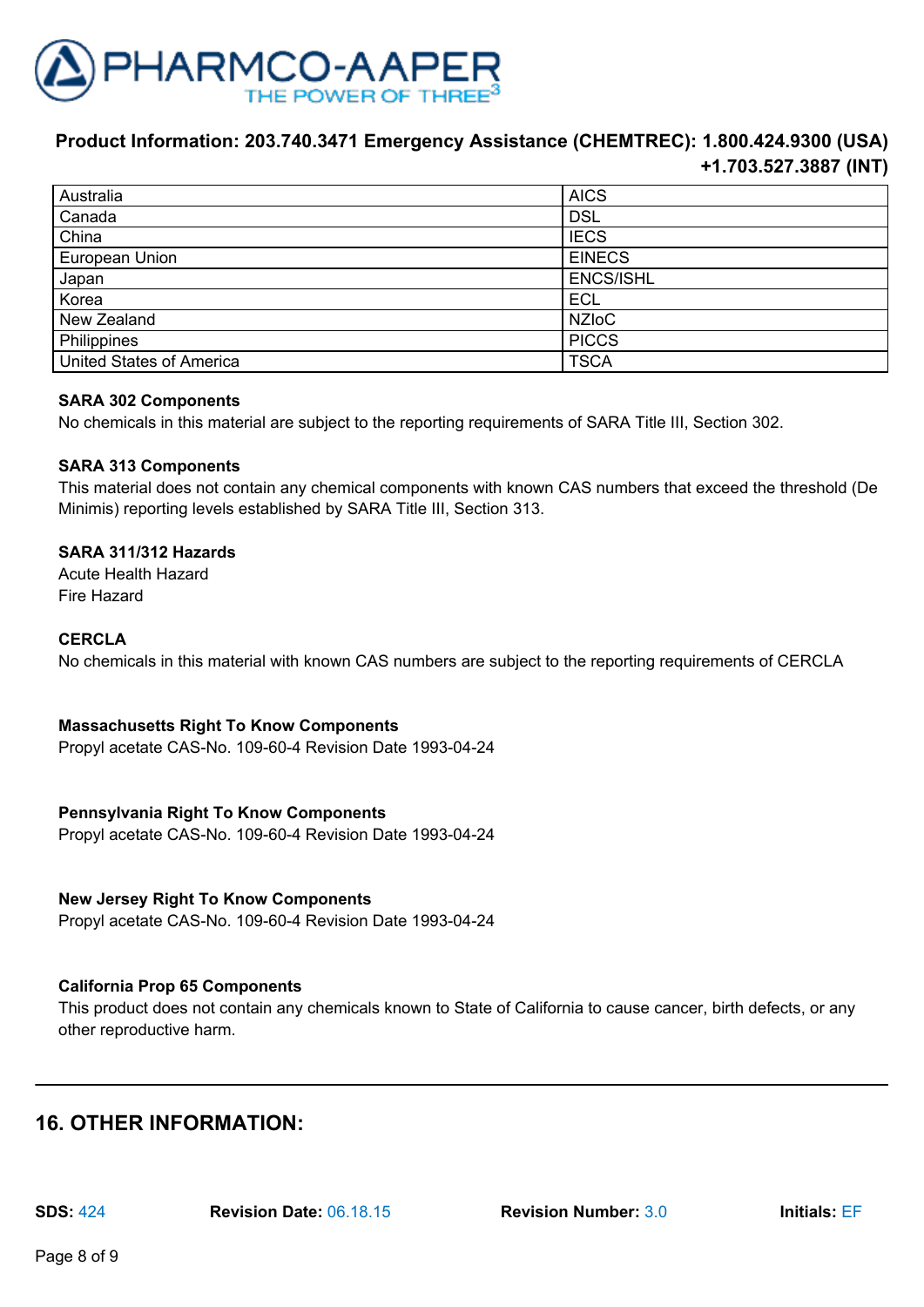

| Australia                       | <b>AICS</b>      |
|---------------------------------|------------------|
| Canada                          | <b>DSL</b>       |
| China                           | <b>IECS</b>      |
| European Union                  | <b>EINECS</b>    |
| Japan                           | <b>ENCS/ISHL</b> |
| Korea                           | <b>ECL</b>       |
| New Zealand                     | <b>NZIoC</b>     |
| Philippines                     | <b>PICCS</b>     |
| <b>United States of America</b> | <b>TSCA</b>      |

#### **SARA 302 Components**

No chemicals in this material are subject to the reporting requirements of SARA Title III, Section 302.

#### **SARA 313 Components**

This material does not contain any chemical components with known CAS numbers that exceed the threshold (De Minimis) reporting levels established by SARA Title III, Section 313.

#### **SARA 311/312 Hazards**

Acute Health Hazard Fire Hazard

#### **CERCLA**

No chemicals in this material with known CAS numbers are subject to the reporting requirements of CERCLA

## **Massachusetts Right To Know Components**

Propyl acetate CAS-No. 109-60-4 Revision Date 1993-04-24

## **Pennsylvania Right To Know Components**

Propyl acetate CAS-No. 109-60-4 Revision Date 1993-04-24

## **New Jersey Right To Know Components**

Propyl acetate CAS-No. 109-60-4 Revision Date 1993-04-24

#### **California Prop 65 Components**

This product does not contain any chemicals known to State of California to cause cancer, birth defects, or any other reproductive harm.

# **16. OTHER INFORMATION:**